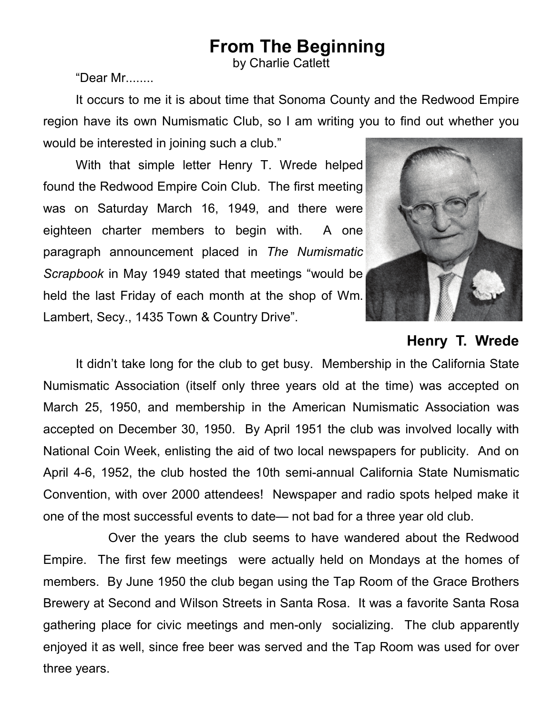## **From The Beginning**

by Charlie Catlett

"Dear Mr........

It occurs to me it is about time that Sonoma County and the Redwood Empire region have its own Numismatic Club, so I am writing you to find out whether you would be interested in joining such a club."

 Lambert, Secy., 1435 Town & Country Drive". With that simple letter Henry T. Wrede helped found the Redwood Empire Coin Club. The first meeting was on Saturday March 16, 1949, and there were eighteen charter members to begin with. A one paragraph announcement placed in *The Numismatic Scrapbook* in May 1949 stated that meetings "would be held the last Friday of each month at the shop of Wm.



**Henry T. Wrede** 

 Convention, with over 2000 attendees! Newspaper and radio spots helped make it It didn't take long for the club to get busy. Membership in the California State Numismatic Association (itself only three years old at the time) was accepted on March 25, 1950, and membership in the American Numismatic Association was accepted on December 30, 1950. By April 1951 the club was involved locally with National Coin Week, enlisting the aid of two local newspapers for publicity. And on April 4-6, 1952, the club hosted the 10th semi-annual California State Numismatic one of the most successful events to date— not bad for a three year old club.

 three years. Over the years the club seems to have wandered about the Redwood Empire. The first few meetings were actually held on Mondays at the homes of members. By June 1950 the club began using the Tap Room of the Grace Brothers Brewery at Second and Wilson Streets in Santa Rosa. It was a favorite Santa Rosa gathering place for civic meetings and men-only socializing. The club apparently enjoyed it as well, since free beer was served and the Tap Room was used for over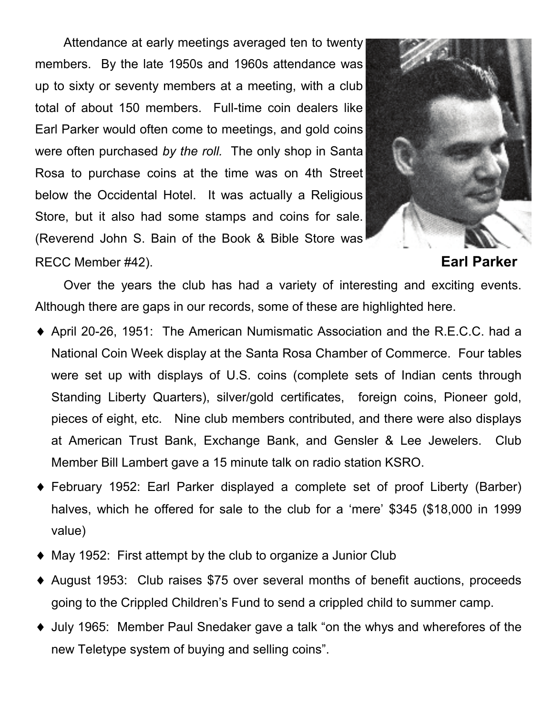Store, but it also had some stamps and coins for sale. Attendance at early meetings averaged ten to twenty members. By the late 1950s and 1960s attendance was up to sixty or seventy members at a meeting, with a club total of about 150 members. Full-time coin dealers like Earl Parker would often come to meetings, and gold coins were often purchased *by the roll.* The only shop in Santa Rosa to purchase coins at the time was on 4th Street below the Occidental Hotel. It was actually a Religious (Reverend John S. Bain of the Book & Bible Store was RECC Member #42). **Earl Parker** 



Over the years the club has had a variety of interesting and exciting events. Although there are gaps in our records, some of these are highlighted here.

- ♦ April 20-26, 1951: The American Numismatic Association and the R.E.C.C. had a National Coin Week display at the Santa Rosa Chamber of Commerce. Four tables were set up with displays of U.S. coins (complete sets of Indian cents through Standing Liberty Quarters), silver/gold certificates, foreign coins, Pioneer gold, pieces of eight, etc. Nine club members contributed, and there were also displays at American Trust Bank, Exchange Bank, and Gensler & Lee Jewelers. Club Member Bill Lambert gave a 15 minute talk on radio station KSRO.
- ♦ February 1952: Earl Parker displayed a complete set of proof Liberty (Barber) halves, which he offered for sale to the club for a 'mere' \$345 (\$18,000 in 1999 value)
- ♦ May 1952: First attempt by the club to organize a Junior Club
- ♦ August 1953: Club raises \$75 over several months of benefit auctions, proceeds going to the Crippled Children's Fund to send a crippled child to summer camp.
- ♦ July 1965: Member Paul Snedaker gave a talk "on the whys and wherefores of the new Teletype system of buying and selling coins".